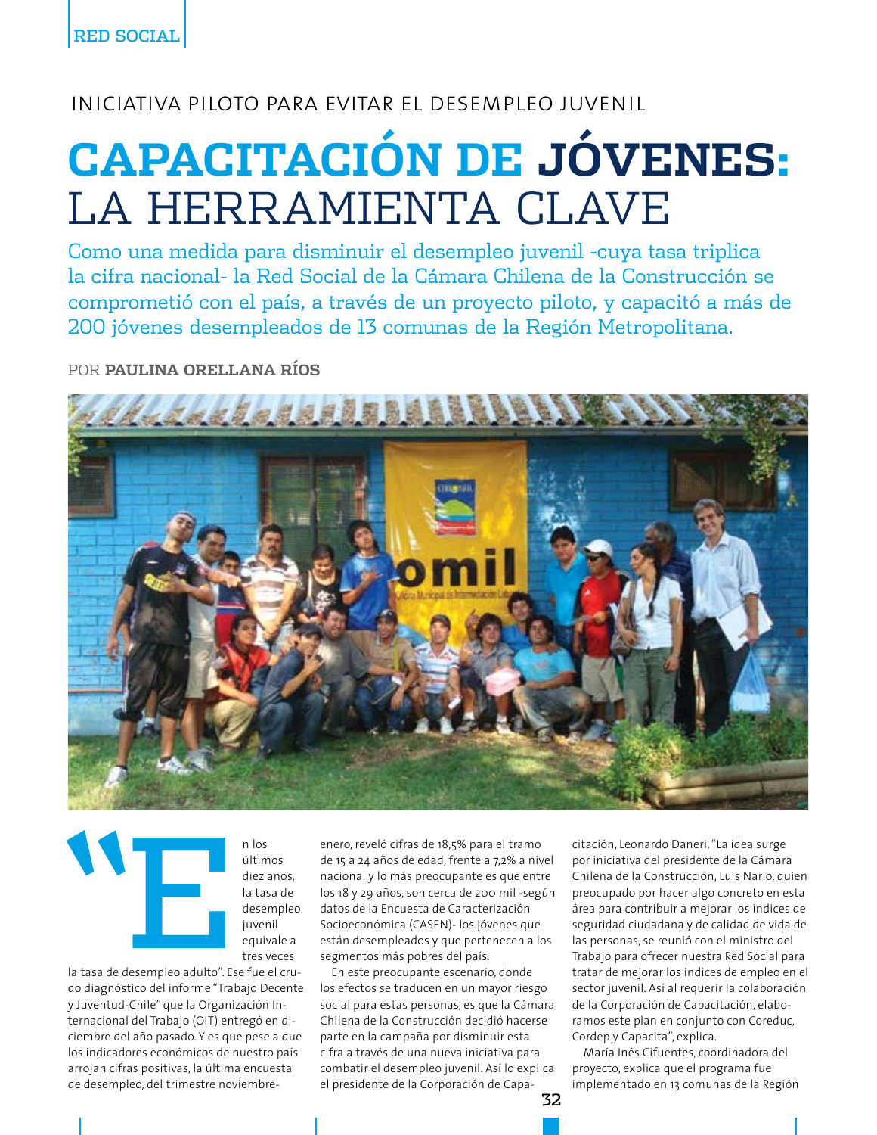## INICIATIVA PILOTO PARA EVITAR EL DESEMPLEO JUVENIL

## **CAPACITACIÓN DE JÓVENES:** LA HERRAMIENTA CLAVE

Como una medida para disminuir el desempleo juvenil -cuya tasa triplica la cifra nacional- la Red Social de la Cámara Chilena de la Construcción se comprometió con el país, a través de un proyecto piloto, y capacitó a más de 200 jóvenes desempleados de 13 comunas de la Región Metropolitana.

POR PAULINA ORELLANA RÍOS



n los últimos diez años, la tasa de desempleo juvenil equivale a tres veces

la tasa de desempleo adulto". Ese fue el crudo diagnóstico del informe "Trabajo Decente y Juventud-Chile" que la Organización Internacional del Trabajo (OIT) entregó en diciembre del año pasado. Y es que pese a que los indicadores económicos de nuestro país arrojan cifras positivas, la última encuesta de desempleo, del trimestre noviembre-

enero, reveló cifras de 18,5% para el tramo de 15 a 24 años de edad, frente a 7,2% a nivel nacional y lo más preocupante es que entre los 18 y 29 años, son cerca de 200 mil -según datos de la Encuesta de Caracterización Socioeconómica (CASEN)- los jóvenes que están desempleados y que pertenecen a los segmentos más pobres del país.

En este preocupante escenario, donde los efectos se traducen en un mayor riesgo social para estas personas, es que la Cámara Chilena de la Construcción decidió hacerse parte en la campaña por disminuir esta cifra a través de una nueva iniciativa para combatir el desempleo juvenil. Así lo explica el presidente de la Corporación de Capacitación, Leonardo Daneri. "La idea surge por iniciativa del presidente de la Cámara Chilena de la Construcción, Luis Nario, quien preocupado por hacer algo concreto en esta área para contribuir a mejorar los índices de seguridad ciudadana y de calidad de vida de las personas, se reunió con el ministro del Trabajo para ofrecer nuestra Red Social para tratar de mejorar los índices de empleo en el sector juvenil. Así al requerir la colaboración de la Corporación de Capacitación, elaboramos este plan en conjunto con Coreduc, Cordep y Capacita", explica.

María Inés Cifuentes, coordinadora del proyecto, explica que el programa fue implementado en 13 comunas de la Región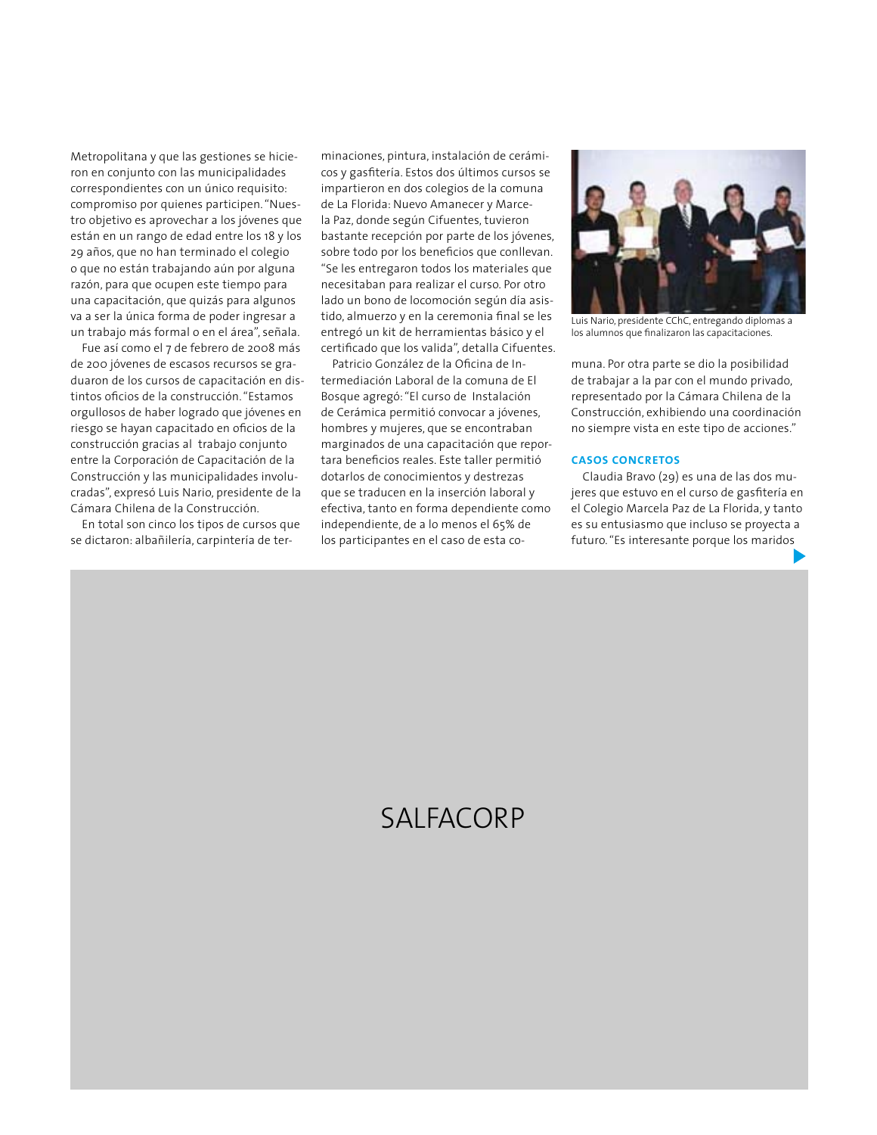Metropolitana y que las gestiones se hicieron en conjunto con las municipalidades correspondientes con un único requisito: compromiso por quienes participen. "Nuestro objetivo es aprovechar a los jóvenes que están en un rango de edad entre los 18 y los 29 años, que no han terminado el colegio o que no están trabajando aún por alguna razón, para que ocupen este tiempo para una capacitación, que quizás para algunos va a ser la única forma de poder ingresar a un trabajo más formal o en el área", señala.

Fue así como el 7 de febrero de 2008 más de 200 jóvenes de escasos recursos se graduaron de los cursos de capacitación en distintos oficios de la construcción. "Estamos orgullosos de haber logrado que jóvenes en riesgo se hayan capacitado en oficios de la construcción gracias al trabajo conjunto entre la Corporación de Capacitación de la Construcción y las municipalidades involucradas", expresó Luis Nario, presidente de la Cámara Chilena de la Construcción

En total son cinco los tipos de cursos que se dictaron: albañilería, carpintería de terminaciones, pintura, instalación de cerámicos y gasfitería. Estos dos últimos cursos se impartieron en dos colegios de la comuna de La Florida: Nuevo Amanecer y Marcela Paz, donde según Cifuentes, tuvieron bastante recepción por parte de los jóvenes, sobre todo por los beneficios que conllevan. "Se les entregaron todos los materiales que necesitaban para realizar el curso. Por otro lado un bono de locomoción según día asistido, almuerzo y en la ceremonia final se les entregó un kit de herramientas básico y el certificado que los valida", detalla Cifuentes.

Patricio González de la Oficina de Intermediación Laboral de la comuna de El Bosque agregó: "El curso de Instalación de Cerámica permitió convocar a jóvenes, hombres y mujeres, que se encontraban marginados de una capacitación que reportara beneficios reales. Este taller permitió dotarlos de conocimientos y destrezas que se traducen en la inserción laboral y efectiva, tanto en forma dependiente como independiente, de a lo menos el 65% de los participantes en el caso de esta co-



Luis Nario, presidente CChC, entregando diplomas a los alumnos que finalizaron las capacitaciones.

muna. Por otra parte se dio la posibilidad de trabajar a la par con el mundo privado, representado por la Cámara Chilena de la Construcción, exhibiendo una coordinación no siempre vista en este tipo de acciones."

## **CASOS CONCRETOS**

Claudia Bravo (29) es una de las dos mujeres que estuvo en el curso de gasfitería en el Colegio Marcela Paz de La Florida, y tanto es su entusiasmo que incluso se proyecta a futuro. "Es interesante porque los maridos